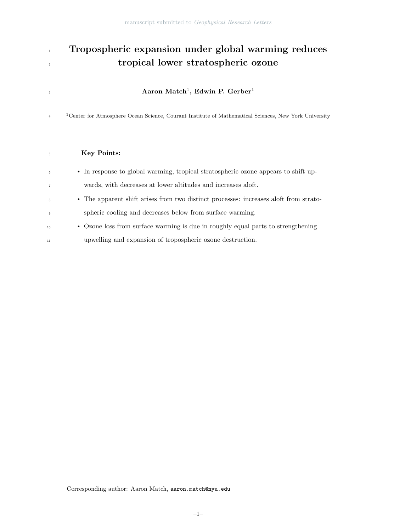## 1 Tropospheric expansion under global warming reduces tropical lower stratospheric ozone

## $\rm Aaron \; Match^1, \; Edwin \; P. \; Gerber^1$

 Center for Atmosphere Ocean Science, Courant Institute of Mathematical Sciences, New York University

## Key Points:

| 6              | • In response to global warming, tropical stratospheric ozone appears to shift up-    |
|----------------|---------------------------------------------------------------------------------------|
| $\overline{7}$ | wards, with decreases at lower altitudes and increases a oft.                         |
| 8              | • The apparent shift arises from two distinct processes: increases aboft from strato- |
| $\overline{9}$ | spheric cooling and decreases below from surface warming.                             |
| 10             | • Ozone loss from surface warming is due in roughly equal parts to strengthening      |
| 11             | upwelling and expansion of tropospheric ozone destruction.                            |

Corresponding author: Aaron Match, aaron.match@nyu.edu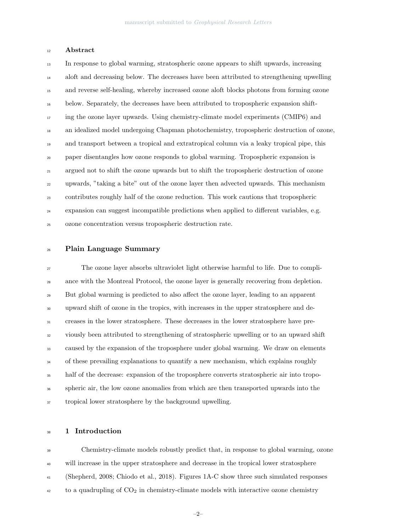### Abstract

 In response to global warming, stratospheric ozone appears to shift upwards, increasing aloft and decreasing below. The decreases have been attributed to strengthening upwelling and reverse self-healing, whereby increased ozone aloft blocks photons from forming ozone below. Separately, the decreases have been attributed to tropospheric expansion shift- ing the ozone layer upwards. Using chemistry-climate model experiments (CMIP6) and an idealized model undergoing Chapman photochemistry, tropospheric destruction of ozone, and transport between a tropical and extratropical column via a leaky tropical pipe, this paper disentangles how ozone responds to global warming. Tropospheric expansion is argued not to shift the ozone upwards but to shift the tropospheric destruction of ozone upwards, "taking a bite" out of the ozone layer then advected upwards. This mechanism contributes roughly half of the ozone reduction. This work cautions that tropospheric expansion can suggest incompatible predictions when applied to different variables, e.g. ozone concentration versus tropospheric destruction rate.

#### Plain Language Summary

 The ozone layer absorbs ultraviolet light otherwise harmful to life. Due to compli- ance with the Montreal Protocol, the ozone layer is generally recovering from depletion. But global warming is predicted to also affect the ozone layer, leading to an apparent upward shift of ozone in the tropics, with increases in the upper stratosphere and de- creases in the lower stratosphere. These decreases in the lower stratosphere have pre- viously been attributed to strengthening of stratospheric upwelling or to an upward shift caused by the expansion of the troposphere under global warming. We draw on elements <sup>34</sup> of these prevailing explanations to quantify a new mechanism, which explains roughly half of the decrease: expansion of the troposphere converts stratospheric air into tropo- spheric air, the low ozone anomalies from which are then transported upwards into the tropical lower stratosphere by the background upwelling.

## 1 Introduction

 Chemistry-climate models robustly predict that, in response to global warming, ozone will increase in the upper stratosphere and decrease in the tropical lower stratosphere (Shepherd, 2008; Chiodo et al., 2018). Figures 1A-C show three such simulated responses  $\frac{42}{42}$  to a quadrupling of  $CO_2$  in chemistry-climate models with interactive ozone chemistry

–2–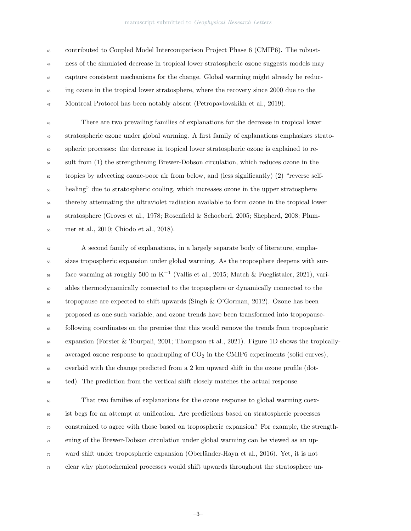contributed to Coupled Model Intercomparison Project Phase 6 (CMIP6). The robust- ness of the simulated decrease in tropical lower stratospheric ozone suggests models may capture consistent mechanisms for the change. Global warming might already be reduc-<sup>46</sup> ing ozone in the tropical lower stratosphere, where the recovery since 2000 due to the Montreal Protocol has been notably absent (Petropavlovskikh et al., 2019).

 There are two prevailing families of explanations for the decrease in tropical lower stratospheric ozone under global warming. A first family of explanations emphasizes strato- spheric processes: the decrease in tropical lower stratospheric ozone is explained to re- sult from (1) the strengthening Brewer-Dobson circulation, which reduces ozone in the tropics by advecting ozone-poor air from below, and (less significantly) (2) "reverse self- healing" due to stratospheric cooling, which increases ozone in the upper stratosphere thereby attenuating the ultraviolet radiation available to form ozone in the tropical lower stratosphere (Groves et al., 1978; Rosenfield & Schoeberl, 2005; Shepherd, 2008; Plum-mer et al., 2010; Chiodo et al., 2018).

 A second family of explanations, in a largely separate body of literature, empha- sizes tropospheric expansion under global warming. As the troposphere deepens with surface warming at roughly 500 m K<sup>-1</sup> (Vallis et al., 2015; Match & Fueglistaler, 2021), vari- ables thermodynamically connected to the troposphere or dynamically connected to the  $\epsilon_1$  tropopause are expected to shift upwards (Singh & O'Gorman, 2012). Ozone has been proposed as one such variable, and ozone trends have been transformed into tropopause- following coordinates on the premise that this would remove the trends from tropospheric expansion (Forster & Tourpali, 2001; Thompson et al., 2021). Figure 1D shows the tropically-65 averaged ozone response to quadrupling of  $CO<sub>2</sub>$  in the CMIP6 experiments (solid curves), overlaid with the change predicted from a 2 km upward shift in the ozone profile (dot- $_{67}$  ted). The prediction from the vertical shift closely matches the actual response.

 That two families of explanations for the ozone response to global warming coex- ist begs for an attempt at unification. Are predictions based on stratospheric processes constrained to agree with those based on tropospheric expansion? For example, the strength- ening of the Brewer-Dobson circulation under global warming can be viewed as an up- ward shift under tropospheric expansion (Oberl¨ander-Hayn et al., 2016). Yet, it is not clear why photochemical processes would shift upwards throughout the stratosphere un-

–3–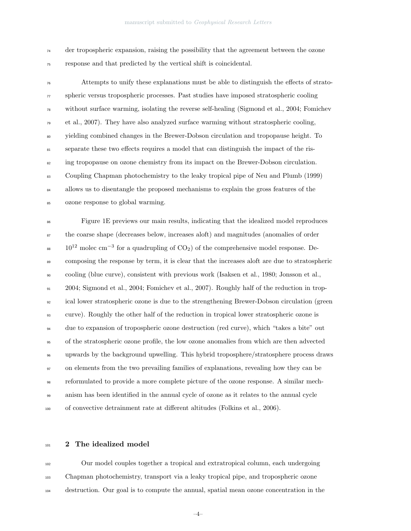der tropospheric expansion, raising the possibility that the agreement between the ozone response and that predicted by the vertical shift is coincidental.

 Attempts to unify these explanations must be able to distinguish the effects of strato- spheric versus tropospheric processes. Past studies have imposed stratospheric cooling without surface warming, isolating the reverse self-healing (Sigmond et al., 2004; Fomichev et al., 2007). They have also analyzed surface warming without stratospheric cooling, yielding combined changes in the Brewer-Dobson circulation and tropopause height. To separate these two effects requires a model that can distinguish the impact of the ris-<sup>82</sup> ing tropopause on ozone chemistry from its impact on the Brewer-Dobson circulation. Coupling Chapman photochemistry to the leaky tropical pipe of Neu and Plumb (1999) <sup>84</sup> allows us to disentangle the proposed mechanisms to explain the gross features of the ozone response to global warming.

 Figure 1E previews our main results, indicating that the idealized model reproduces the coarse shape (decreases below, increases aloft) and magnitudes (anomalies of order  $10^{12}$  molec cm<sup>-3</sup> for a quadrupling of CO<sub>2</sub>) of the comprehensive model response. De- composing the response by term, it is clear that the increases aloft are due to stratospheric cooling (blue curve), consistent with previous work (Isaksen et al., 1980; Jonsson et al., 2004; Sigmond et al., 2004; Fomichev et al., 2007). Roughly half of the reduction in trop-<sup>92</sup> ical lower stratospheric ozone is due to the strengthening Brewer-Dobson circulation (green curve). Roughly the other half of the reduction in tropical lower stratospheric ozone is due to expansion of tropospheric ozone destruction (red curve), which "takes a bite" out of the stratospheric ozone profile, the low ozone anomalies from which are then advected upwards by the background upwelling. This hybrid troposphere/stratosphere process draws on elements from the two prevailing families of explanations, revealing how they can be reformulated to provide a more complete picture of the ozone response. A similar mech- anism has been identified in the annual cycle of ozone as it relates to the annual cycle of convective detrainment rate at different altitudes (Folkins et al., 2006).

#### 101 2 The idealized model

 Our model couples together a tropical and extratropical column, each undergoing Chapman photochemistry, transport via a leaky tropical pipe, and tropospheric ozone destruction. Our goal is to compute the annual, spatial mean ozone concentration in the

–4–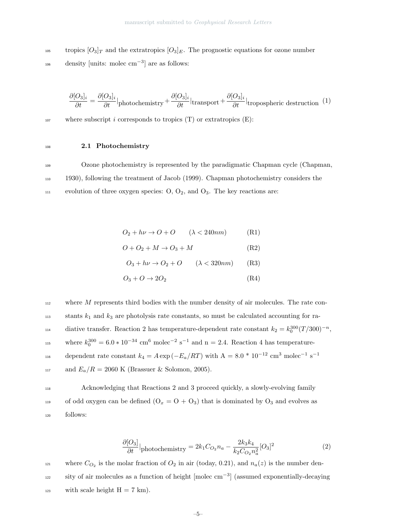tropics  $[O_3]_T$  and the extratropics  $[O_3]_E$ . The prognostic equations for ozone number  $_{106}$  density [units: molec cm<sup>-3</sup>] are as follows:

$$
\frac{\partial [O_3]_i}{\partial t} = \frac{\partial [O_3]_i}{\partial t}\vert_{\text{photochemistry}} + \frac{\partial [O_3]_i}{\partial t}\vert_{\text{transport}} + \frac{\partial [O_3]_i}{\partial t}\vert_{\text{tropospheric destruction}} \tag{1}
$$

107 where subscript i corresponds to tropics  $(T)$  or extratropics  $(E)$ :

## <sup>108</sup> 2.1 Photochemistry

<sup>109</sup> Ozone photochemistry is represented by the paradigmatic Chapman cycle (Chapman, <sup>110</sup> 1930), following the treatment of Jacob (1999). Chapman photochemistry considers the  $111$  evolution of three oxygen species: O, O<sub>2</sub>, and O<sub>3</sub>. The key reactions are:

$$
O_2 + h\nu \to O + O \qquad (\lambda < 240nm) \tag{R1}
$$

$$
O + O_2 + M \to O_3 + M \tag{R2}
$$

$$
O_3 + h\nu \to O_2 + O \qquad (\lambda < 320nm) \qquad (R3)
$$

$$
O_3 + O \to 2O_2 \tag{R4}
$$

 $112$  where M represents third bodies with the number density of air molecules. The rate con- $113$  stants  $k_1$  and  $k_3$  are photolysis rate constants, so must be calculated accounting for radiative transfer. Reaction 2 has temperature-dependent rate constant  $k_2 = k_0^{300} (T/300)^{-n}$ , where  $k_0^{300} = 6.0 * 10^{-34}$  cm<sup>6</sup> molec<sup>-2</sup> s<sup>-1</sup> and n = 2.4. Reaction 4 has temperaturedependent rate constant  $k_4 = A \exp(-E_a/RT)$  with  $A = 8.0 * 10^{-12}$  cm<sup>3</sup> molec<sup>-1</sup> s<sup>-1</sup> 116 117 and  $E_a/R = 2060$  K (Brassuer & Solomon, 2005).

<sup>118</sup> Acknowledging that Reactions 2 and 3 proceed quickly, a slowly-evolving family 119 of odd oxygen can be defined  $(O_x = O + O_3)$  that is dominated by  $O_3$  and evolves as <sup>120</sup> follows:

$$
\frac{\partial [O_3]}{\partial t}|_{\text{photochemistry}} = 2k_1 C_{O_2} n_a - \frac{2k_3 k_4}{k_2 C_{O_2} n_a^2} [O_3]^2 \tag{2}
$$

where  $C_{O_2}$  is the molar fraction of  $O_2$  in air (today, 0.21), and  $n_a(z)$  is the number density of air molecules as a function of height  $\text{[molec cm}^{-3}\text{]}$  (assumed exponentially-decaying 123 with scale height  $H = 7$  km).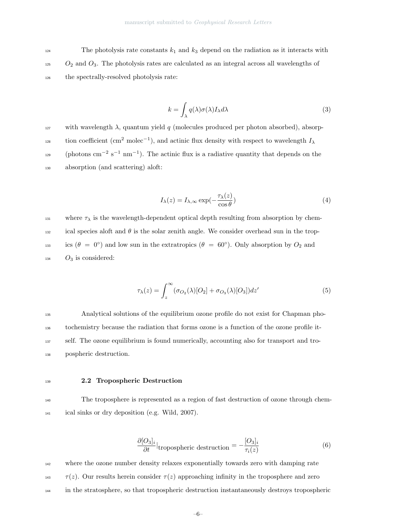<sup>124</sup> The photolysis rate constants  $k_1$  and  $k_3$  depend on the radiation as it interacts with  $1_{25}$  O<sub>2</sub> and O<sub>3</sub>. The photolysis rates are calculated as an integral across all wavelengths of <sup>126</sup> the spectrally-resolved photolysis rate:

$$
k = \int_{\lambda} q(\lambda) \sigma(\lambda) I_{\lambda} d\lambda \tag{3}
$$

127 with wavelength  $\lambda$ , quantum yield q (molecules produced per photon absorbed), absorption coefficient (cm<sup>2</sup> molec<sup>-1</sup>), and actinic flux density with respect to wavelength  $I_{\lambda}$  $_{129}$  (photons cm<sup>-2</sup> s<sup>-1</sup> nm<sup>-1</sup>). The actinic flux is a radiative quantity that depends on the <sup>130</sup> absorption (and scattering) aloft:

$$
I_{\lambda}(z) = I_{\lambda,\infty} \exp(-\frac{\tau_{\lambda}(z)}{\cos \theta})
$$
\n(4)

131 where  $\tau_{\lambda}$  is the wavelength-dependent optical depth resulting from absorption by chemical species aloft and  $\theta$  is the solar zenith angle. We consider overhead sun in the tropics  $(\theta = 0^{\circ})$  and low sun in the extratropics  $(\theta = 60^{\circ})$ . Only absorption by  $O_2$  and  $134$  O<sub>3</sub> is considered:

$$
\tau_{\lambda}(z) = \int_{z}^{\infty} (\sigma_{O_2}(\lambda)[O_2] + \sigma_{O_3}(\lambda)[O_3])dz'
$$
\n(5)

 Analytical solutions of the equilibrium ozone profile do not exist for Chapman pho- tochemistry because the radiation that forms ozone is a function of the ozone profile it- self. The ozone equilibrium is found numerically, accounting also for transport and tro-pospheric destruction.

#### <sup>139</sup> 2.2 Tropospheric Destruction

<sup>140</sup> The troposphere is represented as a region of fast destruction of ozone through chem-<sup>141</sup> ical sinks or dry deposition (e.g. Wild, 2007).

$$
\frac{\partial [O_3]_i}{\partial t}|_{\text{tropospheric destruction}} = -\frac{[O_3]_i}{\tau_i(z)}
$$
(6)

<sup>142</sup> where the ozone number density relaxes exponentially towards zero with damping rate  $\tau(z)$ . Our results herein consider  $\tau(z)$  approaching infinity in the troposphere and zero <sup>144</sup> in the stratosphere, so that tropospheric destruction instantaneously destroys tropospheric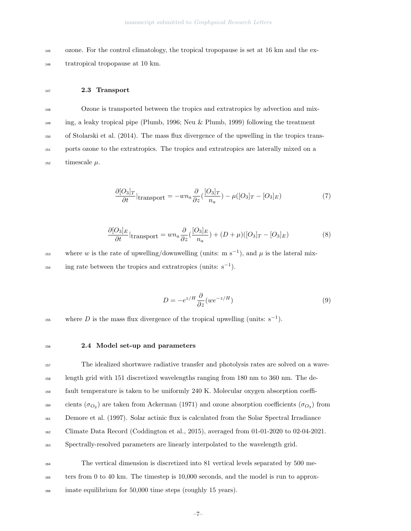<sup>145</sup> ozone. For the control climatology, the tropical tropopause is set at 16 km and the ex-<sup>146</sup> tratropical tropopause at 10 km.

#### <sup>147</sup> 2.3 Transport

 Ozone is transported between the tropics and extratropics by advection and mix- ing, a leaky tropical pipe (Plumb, 1996; Neu & Plumb, 1999) following the treatment of Stolarski et al. (2014). The mass flux divergence of the upwelling in the tropics trans- ports ozone to the extratropics. The tropics and extratropics are laterally mixed on a  $_{152}$  timescale  $\mu$ .

$$
\frac{\partial [O_3]_T}{\partial t}|_{\text{transport}} = -w n_a \frac{\partial}{\partial z} \left(\frac{[O_3]_T}{n_a}\right) - \mu ([O_3]_T - [O_3]_E) \tag{7}
$$

$$
\frac{\partial [O_3]_E}{\partial t}|_{\text{transport}} = w n_a \frac{\partial}{\partial z} (\frac{[O_3]_E}{n_a}) + (D + \mu)([O_3]_T - [O_3]_E) \tag{8}
$$

where w is the rate of upwelling/downwelling (units: m s<sup>-1</sup>), and  $\mu$  is the lateral mix- $\text{ing rate between the tropics and extratropics (units: } s^{-1}).$ 

$$
D = -e^{z/H} \frac{\partial}{\partial z} (we^{-z/H})
$$
\n(9)

where D is the mass flux divergence of the tropical upwelling (units:  $s^{-1}$ ).

#### <sup>156</sup> 2.4 Model set-up and parameters

 The idealized shortwave radiative transfer and photolysis rates are solved on a wave- length grid with 151 discretized wavelengths ranging from 180 nm to 360 nm. The de- fault temperature is taken to be uniformly 240 K. Molecular oxygen absorption coeffi-<sup>160</sup> cients ( $\sigma_{O_2}$ ) are taken from Ackerman (1971) and ozone absorption coefficients ( $\sigma_{O_3}$ ) from Demore et al. (1997). Solar actinic flux is calculated from the Solar Spectral Irradiance Climate Data Record (Coddington et al., 2015), averaged from 01-01-2020 to 02-04-2021. Spectrally-resolved parameters are linearly interpolated to the wavelength grid.

- <sup>164</sup> The vertical dimension is discretized into 81 vertical levels separated by 500 me-<sup>165</sup> ters from 0 to 40 km. The timestep is 10,000 seconds, and the model is run to approx-
- <sup>166</sup> imate equilibrium for 50,000 time steps (roughly 15 years).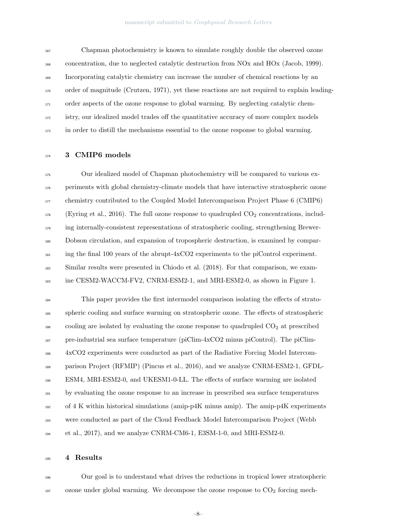Chapman photochemistry is known to simulate roughly double the observed ozone concentration, due to neglected catalytic destruction from NOx and HOx (Jacob, 1999). Incorporating catalytic chemistry can increase the number of chemical reactions by an order of magnitude (Crutzen, 1971), yet these reactions are not required to explain leading- order aspects of the ozone response to global warming. By neglecting catalytic chem- istry, our idealized model trades off the quantitative accuracy of more complex models in order to distill the mechanisms essential to the ozone response to global warming.

#### 174 3 CMIP6 models

 Our idealized model of Chapman photochemistry will be compared to various ex- periments with global chemistry-climate models that have interactive stratospheric ozone <sub>177</sub> chemistry contributed to the Coupled Model Intercomparison Project Phase 6 (CMIP6) (Eyring et al., 2016). The full ozone response to quadrupled  $CO<sub>2</sub>$  concentrations, includ- ing internally-consistent representations of stratospheric cooling, strengthening Brewer- Dobson circulation, and expansion of tropospheric destruction, is examined by compar- ing the final 100 years of the abrupt-4xCO2 experiments to the piControl experiment. Similar results were presented in Chiodo et al. (2018). For that comparison, we exam-ine CESM2-WACCM-FV2, CNRM-ESM2-1, and MRI-ESM2-0, as shown in Figure 1.

 This paper provides the first intermodel comparison isolating the effects of strato- spheric cooling and surface warming on stratospheric ozone. The effects of stratospheric cooling are isolated by evaluating the ozone response to quadrupled  $CO<sub>2</sub>$  at prescribed pre-industrial sea surface temperature (piClim-4xCO2 minus piControl). The piClim- 4xCO2 experiments were conducted as part of the Radiative Forcing Model Intercom- parison Project (RFMIP) (Pincus et al., 2016), and we analyze CNRM-ESM2-1, GFDL- ESM4, MRI-ESM2-0, and UKESM1-0-LL. The effects of surface warming are isolated by evaluating the ozone response to an increase in prescribed sea surface temperatures of 4 K within historical simulations (amip-p4K minus amip). The amip-p4K experiments were conducted as part of the Cloud Feedback Model Intercomparison Project (Webb et al., 2017), and we analyze CNRM-CM6-1, E3SM-1-0, and MRI-ESM2-0.

#### 4 Results

 Our goal is to understand what drives the reductions in tropical lower stratospheric ozone under global warming. We decompose the ozone response to  $CO<sub>2</sub>$  forcing mech-

–8–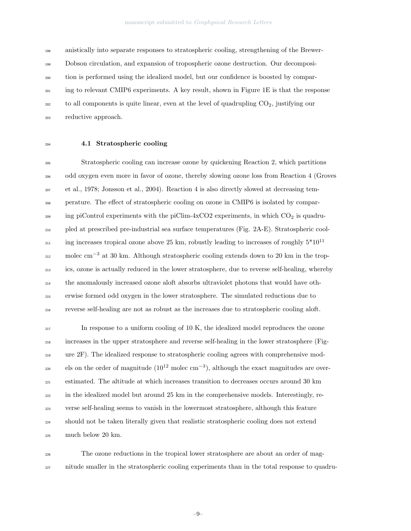anistically into separate responses to stratospheric cooling, strengthening of the Brewer- Dobson circulation, and expansion of tropospheric ozone destruction. Our decomposi- tion is performed using the idealized model, but our confidence is boosted by compar- ing to relevant CMIP6 experiments. A key result, shown in Figure 1E is that the response to all components is quite linear, even at the level of quadrupling  $CO<sub>2</sub>$ , justifying our reductive approach.

## 4.1 Stratospheric cooling

 Stratospheric cooling can increase ozone by quickening Reaction 2, which partitions odd oxygen even more in favor of ozone, thereby slowing ozone loss from Reaction 4 (Groves et al., 1978; Jonsson et al., 2004). Reaction 4 is also directly slowed at decreasing tem- perature. The effect of stratospheric cooling on ozone in CMIP6 is isolated by compar- $\text{209}$  ing piControl experiments with the piClim-4xCO2 experiments, in which CO<sub>2</sub> is quadru- pled at prescribed pre-industrial sea surface temperatures (Fig. 2A-E). Stratospheric cooling increases tropical ozone above 25 km, robustly leading to increases of roughly  $5*10^{11}$   $_{212}$  molec cm<sup>-3</sup> at 30 km. Although stratospheric cooling extends down to 20 km in the trop- ics, ozone is actually reduced in the lower stratosphere, due to reverse self-healing, whereby the anomalously increased ozone aloft absorbs ultraviolet photons that would have oth- erwise formed odd oxygen in the lower stratosphere. The simulated reductions due to reverse self-healing are not as robust as the increases due to stratospheric cooling aloft.

 In response to a uniform cooling of 10 K, the idealized model reproduces the ozone increases in the upper stratosphere and reverse self-healing in the lower stratosphere (Fig- ure 2F). The idealized response to stratospheric cooling agrees with comprehensive models on the order of magnitude ( $10^{12}$  molec cm<sup>-3</sup>), although the exact magnitudes are over- estimated. The altitude at which increases transition to decreases occurs around 30 km in the idealized model but around 25 km in the comprehensive models. Interestingly, re- verse self-healing seems to vanish in the lowermost stratosphere, although this feature should not be taken literally given that realistic stratospheric cooling does not extend much below 20 km.

 The ozone reductions in the tropical lower stratosphere are about an order of mag-nitude smaller in the stratospheric cooling experiments than in the total response to quadru-

–9–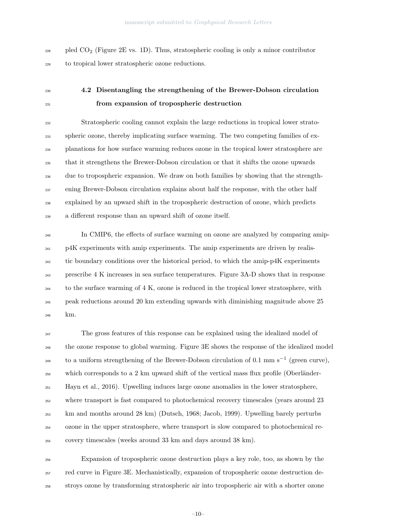$_{228}$  pled CO<sub>2</sub> (Figure 2E vs. 1D). Thus, stratospheric cooling is only a minor contributor to tropical lower stratospheric ozone reductions.

## 4.2 Disentangling the strengthening of the Brewer-Dobson circulation from expansion of tropospheric destruction

 Stratospheric cooling cannot explain the large reductions in tropical lower strato- spheric ozone, thereby implicating surface warming. The two competing families of ex- planations for how surface warming reduces ozone in the tropical lower stratosphere are that it strengthens the Brewer-Dobson circulation or that it shifts the ozone upwards due to tropospheric expansion. We draw on both families by showing that the strength- ening Brewer-Dobson circulation explains about half the response, with the other half explained by an upward shift in the tropospheric destruction of ozone, which predicts a different response than an upward shift of ozone itself.

 In CMIP6, the effects of surface warming on ozone are analyzed by comparing amip- p4K experiments with amip experiments. The amip experiments are driven by realis- tic boundary conditions over the historical period, to which the amip-p4K experiments prescribe 4 K increases in sea surface temperatures. Figure 3A-D shows that in response to the surface warming of 4 K, ozone is reduced in the tropical lower stratosphere, with peak reductions around 20 km extending upwards with diminishing magnitude above 25 km.

 The gross features of this response can be explained using the idealized model of <sup>248</sup> the ozone response to global warming. Figure 3E shows the response of the idealized model to a uniform strengthening of the Brewer-Dobson circulation of 0.1 mm s<sup>-1</sup> (green curve),  $_{250}$  which corresponds to a 2 km upward shift of the vertical mass flux profile (Oberländer- Hayn et al., 2016). Upwelling induces large ozone anomalies in the lower stratosphere, where transport is fast compared to photochemical recovery timescales (years around 23 km and months around 28 km) (Dutsch, 1968; Jacob, 1999). Upwelling barely perturbs ozone in the upper stratosphere, where transport is slow compared to photochemical re-covery timescales (weeks around 33 km and days around 38 km).

 Expansion of tropospheric ozone destruction plays a key role, too, as shown by the red curve in Figure 3E. Mechanistically, expansion of tropospheric ozone destruction de-stroys ozone by transforming stratospheric air into tropospheric air with a shorter ozone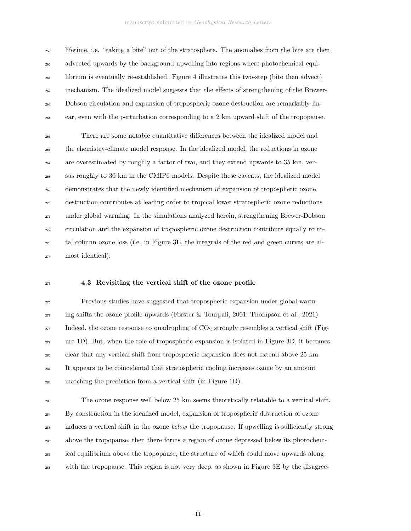#### manuscript submitted to Geophysical Research Letters

 lifetime, i.e. "taking a bite" out of the stratosphere. The anomalies from the bite are then advected upwards by the background upwelling into regions where photochemical equi- librium is eventually re-established. Figure 4 illustrates this two-step (bite then advect) mechanism. The idealized model suggests that the effects of strengthening of the Brewer- Dobson circulation and expansion of tropospheric ozone destruction are remarkably lin-ear, even with the perturbation corresponding to a 2 km upward shift of the tropopause.

 There are some notable quantitative differences between the idealized model and the chemistry-climate model response. In the idealized model, the reductions in ozone are overestimated by roughly a factor of two, and they extend upwards to 35 km, ver- sus roughly to 30 km in the CMIP6 models. Despite these caveats, the idealized model demonstrates that the newly identified mechanism of expansion of tropospheric ozone destruction contributes at leading order to tropical lower stratospheric ozone reductions under global warming. In the simulations analyzed herein, strengthening Brewer-Dobson circulation and the expansion of tropospheric ozone destruction contribute equally to to- tal column ozone loss (i.e. in Figure 3E, the integrals of the red and green curves are al-most identical).

#### 4.3 Revisiting the vertical shift of the ozone profile

 Previous studies have suggested that tropospheric expansion under global warm- $_{277}$  ing shifts the ozone profile upwards (Forster & Tourpali, 2001; Thompson et al., 2021). 278 Indeed, the ozone response to quadrupling of  $CO<sub>2</sub>$  strongly resembles a vertical shift (Fig- ure 1D). But, when the role of tropospheric expansion is isolated in Figure 3D, it becomes clear that any vertical shift from tropospheric expansion does not extend above 25 km. It appears to be coincidental that stratospheric cooling increases ozone by an amount matching the prediction from a vertical shift (in Figure 1D).

 The ozone response well below 25 km seems theoretically relatable to a vertical shift. By construction in the idealized model, expansion of tropospheric destruction of ozone <sup>285</sup> induces a vertical shift in the ozone *below* the tropopause. If upwelling is sufficiently strong above the tropopause, then there forms a region of ozone depressed below its photochem- ical equilibrium above the tropopause, the structure of which could move upwards along with the tropopause. This region is not very deep, as shown in Figure 3E by the disagree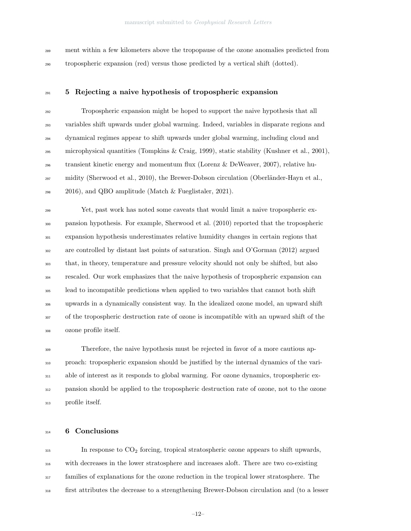ment within a few kilometers above the tropopause of the ozone anomalies predicted from tropospheric expansion (red) versus those predicted by a vertical shift (dotted).

## <sup>291</sup> 5 Rejecting a naive hypothesis of tropospheric expansion

 Tropospheric expansion might be hoped to support the naive hypothesis that all variables shift upwards under global warming. Indeed, variables in disparate regions and dynamical regimes appear to shift upwards under global warming, including cloud and microphysical quantities (Tompkins & Craig, 1999), static stability (Kushner et al., 2001), transient kinetic energy and momentum flux (Lorenz & DeWeaver, 2007), relative hu- $_{297}$  midity (Sherwood et al., 2010), the Brewer-Dobson circulation (Oberländer-Hayn et al.,  $_{298}$  2016), and QBO amplitude (Match & Fueglistaler, 2021).

 Yet, past work has noted some caveats that would limit a naive tropospheric ex- pansion hypothesis. For example, Sherwood et al. (2010) reported that the tropospheric expansion hypothesis underestimates relative humidity changes in certain regions that are controlled by distant last points of saturation. Singh and O'Gorman (2012) argued that, in theory, temperature and pressure velocity should not only be shifted, but also rescaled. Our work emphasizes that the naive hypothesis of tropospheric expansion can lead to incompatible predictions when applied to two variables that cannot both shift upwards in a dynamically consistent way. In the idealized ozone model, an upward shift of the tropospheric destruction rate of ozone is incompatible with an upward shift of the ozone profile itself.

 Therefore, the naive hypothesis must be rejected in favor of a more cautious ap- proach: tropospheric expansion should be justified by the internal dynamics of the vari- able of interest as it responds to global warming. For ozone dynamics, tropospheric ex- pansion should be applied to the tropospheric destruction rate of ozone, not to the ozone profile itself.

## 314 6 Conclusions

 In response to CO<sup>2</sup> forcing, tropical stratospheric ozone appears to shift upwards, with decreases in the lower stratosphere and increases aloft. There are two co-existing families of explanations for the ozone reduction in the tropical lower stratosphere. The first attributes the decrease to a strengthening Brewer-Dobson circulation and (to a lesser

–12–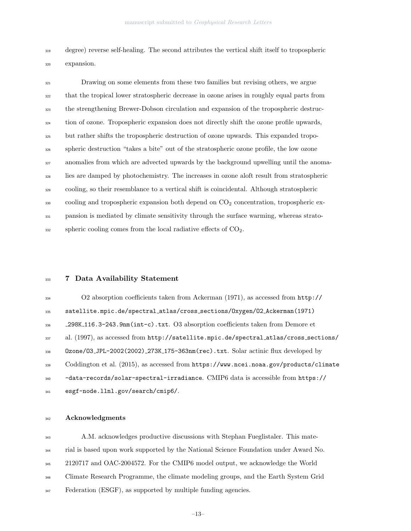degree) reverse self-healing. The second attributes the vertical shift itself to tropospheric expansion.

 Drawing on some elements from these two families but revising others, we argue that the tropical lower stratospheric decrease in ozone arises in roughly equal parts from the strengthening Brewer-Dobson circulation and expansion of the tropospheric destruc-<sup>324</sup> tion of ozone. Tropospheric expansion does not directly shift the ozone profile upwards, but rather shifts the tropospheric destruction of ozone upwards. This expanded tropo- spheric destruction "takes a bite" out of the stratospheric ozone profile, the low ozone anomalies from which are advected upwards by the background upwelling until the anoma- lies are damped by photochemistry. The increases in ozone aloft result from stratospheric cooling, so their resemblance to a vertical shift is coincidental. Although stratospheric cooling and tropospheric expansion both depend on  $CO<sub>2</sub>$  concentration, tropospheric ex- pansion is mediated by climate sensitivity through the surface warming, whereas strato- $_{332}$  spheric cooling comes from the local radiative effects of  $CO<sub>2</sub>$ .

#### 7 Data Availability Statement

 O2 absorption coefficients taken from Ackerman (1971), as accessed from http:// satellite.mpic.de/spectral atlas/cross sections/Oxygen/O2 Ackerman(1971) 298K 116.3-243.9nm(int-c).txt. O3 absorption coefficients taken from Demore et al. (1997), as accessed from http://satellite.mpic.de/spectral atlas/cross sections/ Ozone/O3 JPL-2002(2002) 273K 175-363nm(rec).txt. Solar actinic flux developed by Coddington et al. (2015), as accessed from https://www.ncei.noaa.gov/products/climate -data-records/solar-spectral-irradiance. CMIP6 data is accessible from https:// esgf-node.llnl.gov/search/cmip6/.

#### Acknowledgments

 A.M. acknowledges productive discussions with Stephan Fueglistaler. This mate- rial is based upon work supported by the National Science Foundation under Award No. 2120717 and OAC-2004572. For the CMIP6 model output, we acknowledge the World <sup>346</sup> Climate Research Programme, the climate modeling groups, and the Earth System Grid  $Federation (ESGF)$ , as supported by multiple funding agencies.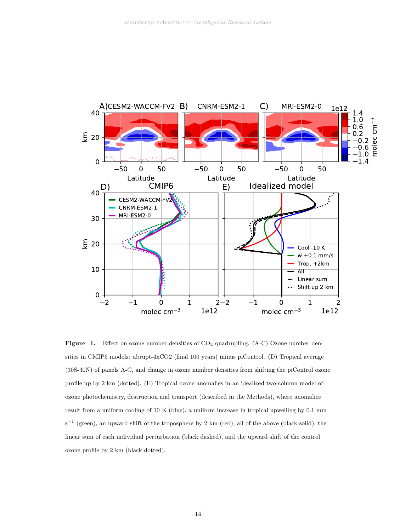

Figure 1. Effect on ozone number densities of CO<sub>2</sub> quadrupling. (A-C) Ozone number densities in CMIP6 models: abrupt-4xCO2 (final 100 years) minus piControl. (D) Tropical average (30S-30N) of panels A-C, and change in ozone number densities from shifting the piControl ozone profile up by 2 km (dotted). (E) Tropical ozone anomalies in an idealized two-column model of ozone photochemistry, destruction and transport (described in the Methods), where anomalies result from a uniform cooling of 10 K (blue), a uniform increase in tropical upwelling by 0.1 mm s<sup>-1</sup> (green), an upward shift of the troposphere by 2 km (red), all of the above (black solid), the linear sum of each individual perturbation (black dashed), and the upward shift of the control ozone profile by 2 km (black dotted).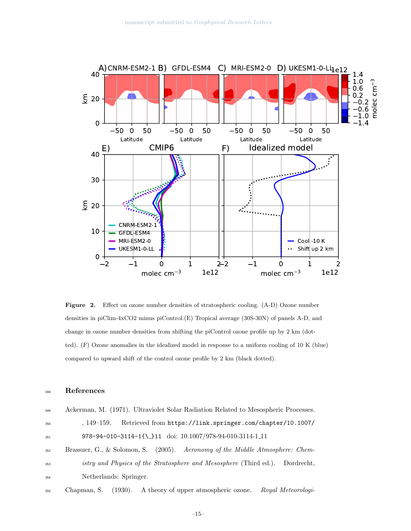

Figure 2. Effect on ozone number densities of stratospheric cooling. (A-D) Ozone number densities in piClim-4xCO2 minus piControl.(E) Tropical average (30S-30N) of panels A-D, and change in ozone number densities from shifting the piControl ozone profile up by 2 km (dotted). (F) Ozone anomalies in the idealized model in response to a uniform cooling of 10 K (blue) compared to upward shift of the control ozone profile by 2 km (black dotted).

#### <sup>348</sup> References

| 349 | Ackerman, M. (1971). Ultraviolet Solar Radiation Related to Mesospheric Processes. |
|-----|------------------------------------------------------------------------------------|
| 350 | Retrieved from https://link.springer.com/chapter/10.1007/<br>$.149-159.$           |
| 351 | 978-94-010-3114-1{\_}11 doi: 10.1007/978-94-010-3114-1_11                          |
| 352 | Brassuer, G., & Solomon, S. (2005). Aeronomy of the Middle Atmosphere: Chem-       |
| 353 | istry and Physics of the Stratosphere and Mesosphere (Third ed.). Dordrecht,       |
| 354 | Netherlands: Springer.                                                             |
|     |                                                                                    |

<sup>355</sup> Chapman, S. (1930). A theory of upper atmospheric ozone. Royal Meteorologi-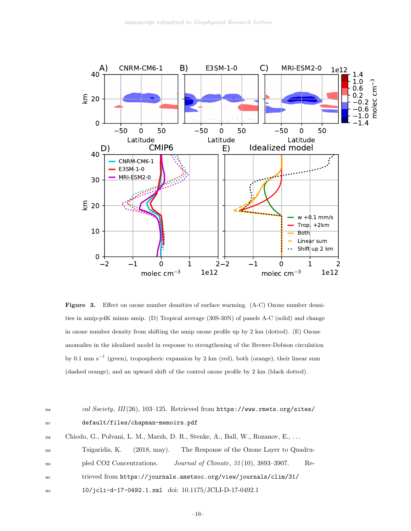

Figure 3. Effect on ozone number densities of surface warming. (A-C) Ozone number densities in amip-p4K minus amip. (D) Tropical average (30S-30N) of panels A-C (solid) and change in ozone number density from shifting the amip ozone profile up by 2 km (dotted). (E) Ozone anomalies in the idealized model in response to strengthening of the Brewer-Dobson circulation by 0.1 mm s<sup>−</sup><sup>1</sup> (green), tropospheric expansion by 2 km (red), both (orange), their linear sum (dashed orange), and an upward shift of the control ozone profile by 2 km (black dotted).

# $1356$  cal Society, III(26), 103-125. Retrieved from https://www.rmets.org/sites/ <sup>357</sup> default/files/chapman-memoirs.pdf <sup>358</sup> Chiodo, G., Polvani, L. M., Marsh, D. R., Stenke, A., Ball, W., Rozanov, E., . . . <sup>359</sup> Tsigaridis, K. (2018, may). The Response of the Ozone Layer to Quadru-<sup>360</sup> pled CO2 Concentrations. *Journal of Climate*,  $31(10)$ , 3893–3907. Re-<sup>361</sup> trieved from https://journals.ametsoc.org/view/journals/clim/31/ <sup>362</sup> 10/jcli-d-17-0492.1.xml doi: 10.1175/JCLI-D-17-0492.1

–16–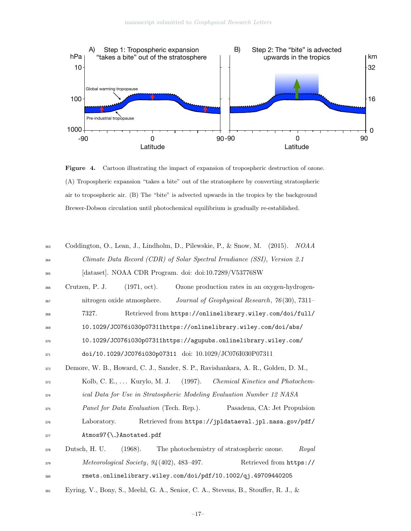

Figure 4. Cartoon illustrating the impact of expansion of tropospheric destruction of ozone. (A) Tropospheric expansion "takes a bite" out of the stratosphere by converting stratospheric air to tropospheric air. (B) The "bite" is advected upwards in the tropics by the background Brewer-Dobson circulation until photochemical equilibrium is gradually re-established.

| 363 | Coddington, O., Lean, J., Lindholm, D., Pilewskie, P., & Snow, M. (2015). NOAA            |
|-----|-------------------------------------------------------------------------------------------|
| 364 | Climate Data Record (CDR) of Solar Spectral Irradiance (SSI), Version 2.1                 |
| 365 | [dataset]. NOAA CDR Program. doi: doi:10.7289/V53776SW                                    |
| 366 | $(1971, \text{ oct}).$<br>Ozone production rates in an oxygen-hydrogen-<br>Crutzen, P. J. |
| 367 | Journal of Geophysical Research, 76(30), 7311-<br>nitrogen oxide atmosphere.              |
| 368 | 7327.<br>Retrieved from https://onlinelibrary.wiley.com/doi/full/                         |
| 369 | 10.1029/JC076i030p07311https://onlinelibrary.wiley.com/doi/abs/                           |
| 370 | 10.1029/JC076i030p07311https://agupubs.onlinelibrary.wiley.com/                           |
| 371 | doi/10.1029/JC076i030p07311 doi: 10.1029/JC076I030P07311                                  |
| 372 | Demore, W. B., Howard, C. J., Sander, S. P., Ravishankara, A. R., Golden, D. M.,          |
| 373 | Kolb, C. E.,  Kurylo, M. J. (1997).<br>Chemical Kinetics and Photochem-                   |
| 374 | ical Data for Use in Stratospheric Modeling Evaluation Number 12 NASA                     |
| 375 | Panel for Data Evaluation (Tech. Rep.).<br>Pasadena, CA: Jet Propulsion                   |
| 376 | Retrieved from https://jpldataeval.jpl.nasa.gov/pdf/<br>Laboratory.                       |
| 377 | Atmos97{\_}Anotated.pdf                                                                   |
| 378 | (1968).<br>The photochemistry of stratospheric ozone.<br>Dutsch, H. U.<br>Royal           |
| 379 | Retrieved from https://<br>Meteorological Society, $94(402)$ , 483-497.                   |
| 380 | rmets.onlinelibrary.wiley.com/doi/pdf/10.1002/qj.49709440205                              |
| 381 | Eyring, V., Bony, S., Meehl, G. A., Senior, C. A., Stevens, B., Stouffer, R. J., &        |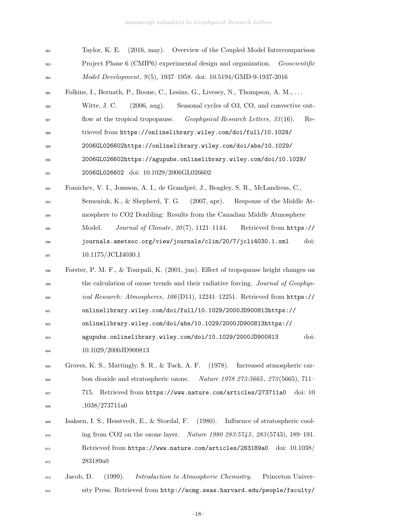| 382 | (2016, may). Overview of the Coupled Model Intercomparison<br>Taylor, K. E.                    |
|-----|------------------------------------------------------------------------------------------------|
| 383 | Project Phase 6 (CMIP6) experimental design and organization.<br>Geoscientific                 |
| 384 | <i>Model Development</i> , $9(5)$ , 1937–1958. doi: 10.5194/GMD-9-1937-2016                    |
| 385 | Folkins, I., Bernath, P., Boone, C., Lesins, G., Livesey, N., Thompson, A. M.,                 |
| 386 | Witte, J. C.<br>$(2006, \text{aug}).$<br>Seasonal cycles of O3, CO, and convective out-        |
| 387 | Geophysical Research Letters, 33(16).<br>flow at the tropical tropopause.<br>$Re-$             |
| 388 | trieved from https://onlinelibrary.wiley.com/doi/full/10.1029/                                 |
| 389 | 2006GL026602https://onlinelibrary.wiley.com/doi/abs/10.1029/                                   |
| 390 | 2006GL026602https://agupubs.onlinelibrary.wiley.com/doi/10.1029/                               |
| 391 | 2006GL026602 doi: 10.1029/2006GL026602                                                         |
| 392 | Fomichev, V. I., Jonsson, A. I., de Grandpré, J., Beagley, S. R., McLandress, C.,              |
| 393 | Semeniuk, K., & Shepherd, T. G. $(2007, \text{apr})$ .<br>Response of the Middle At-           |
| 394 | mosphere to CO2 Doubling: Results from the Canadian Middle Atmosphere                          |
| 395 | <i>Journal of Climate, <math>20(7)</math>, 1121-1144.</i><br>Retrieved from https://<br>Model. |
| 396 | journals.ametsoc.org/view/journals/clim/20/7/jcli4030.1.xml<br>doi:                            |
| 397 | 10.1175/JCLI4030.1                                                                             |
| 398 | Forster, P. M. F., & Tourpali, K. (2001, jun). Effect of tropopause height changes on          |
| 399 | the calculation of ozone trends and their radiative forcing. Journal of Geophys-               |
| 400 | ical Research: Atmospheres, 106(D11), 12241-12251. Retrieved from https://                     |
| 401 | onlinelibrary.wiley.com/doi/full/10.1029/2000JD900813https://                                  |
| 402 | onlinelibrary.wiley.com/doi/abs/10.1029/2000JD900813https://                                   |
| 403 | doi:<br>agupubs.onlinelibrary.wiley.com/doi/10.1029/2000JD900813                               |
| 404 | 10.1029/2000JD900813                                                                           |
| 405 | Groves, K. S., Mattingly, S. R., & Tuck, A. F.<br>(1978).<br>Increased atmospheric car-        |
| 406 | bon dioxide and stratospheric ozone.<br><i>Nature 1978 273:5665, 273</i> (5665), 711-          |
| 407 | Retrieved from https://www.nature.com/articles/273711a0<br>$\dot{\omega}$ : 10<br>715.         |
| 408 | .1038/273711a0                                                                                 |
| 409 | (1980).<br>Influence of stratospheric cool-<br>Isaksen, I. S., Hesstvedt, E., & Stordal, F.    |
| 410 | ing from CO2 on the ozone layer.<br>Nature 1980 283:5743, 283(5743), 189-191.                  |
| 411 | Retrieved from https://www.nature.com/articles/283189a0<br>doi: $10.1038/$                     |
| 412 | 283189a0                                                                                       |
| 413 | (1999).<br>Introduction to Atmospheric Chemistry.<br>Princeton Univer-<br>Jacob, D.            |
| 414 | sity Press. Retrieved from http://acmg.seas.harvard.edu/people/faculty/                        |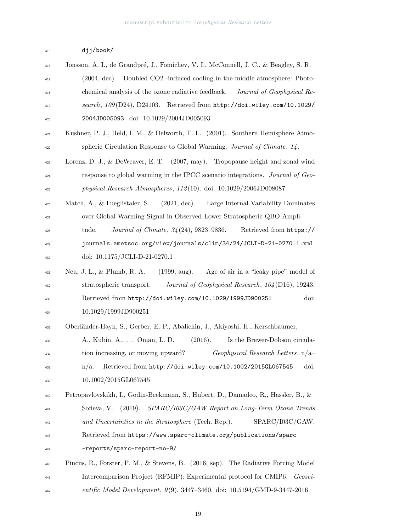| 415 | djj/book/ |
|-----|-----------|
|-----|-----------|

| 416 | Jonsson, A. I., de Grandpré, J., Fomichev, V. I., McConnell, J. C., & Beagley, S. R.            |
|-----|-------------------------------------------------------------------------------------------------|
| 417 | Doubled CO2 -induced cooling in the middle atmosphere: Photo-<br>(2004, dec).                   |
| 418 | chemical analysis of the ozone radiative feedback.<br>Journal of Geophysical Re-                |
| 419 | search, $109(D24)$ , D24103. Retrieved from http://doi.wiley.com/10.1029/                       |
| 420 | 2004JD005093 doi: 10.1029/2004JD005093                                                          |
| 421 | Kushner, P. J., Held, I. M., & Delworth, T. L. (2001). Southern Hemisphere Atmo-                |
| 422 | spheric Circulation Response to Global Warming. Journal of Climate, 14.                         |
| 423 | Lorenz, D. J., & DeWeaver, E. T. (2007, may). Tropopause height and zonal wind                  |
| 424 | response to global warming in the IPCC scenario integrations. Journal of Geo-                   |
| 425 | physical Research Atmospheres, $112(10)$ . doi: $10.1029/2006JD008087$                          |
| 426 | Large Internal Variability Dominates<br>Match, A., & Fueglistaler, S.<br>(2021, dec).           |
| 427 | over Global Warming Signal in Observed Lower Stratospheric QBO Ampli-                           |
| 428 | <i>Journal of Climate</i> , $34(24)$ , $9823-9836$ .<br>Retrieved from https://<br>tude.        |
| 429 | journals.ametsoc.org/view/journals/clim/34/24/JCLI-D-21-0270.1.xml                              |
| 430 | doi: 10.1175/JCLI-D-21-0270.1                                                                   |
| 431 | Neu, J. L., $\&$ Plumb, R. A.<br>$(1999, \text{aug}).$<br>Age of air in a "leaky pipe" model of |
| 432 | Journal of Geophysical Research, 104 (D16), 19243.<br>stratospheric transport.                  |
| 433 | Retrieved from http://doi.wiley.com/10.1029/1999JD900251<br>doi:                                |
| 434 | 10.1029/1999JD900251                                                                            |
| 435 | Oberländer-Hayn, S., Gerber, E. P., Abalichin, J., Akiyoshi, H., Kerschbaumer,                  |
| 436 | A., Kubin, A.,  Oman, L. D.<br>(2016).<br>Is the Brewer-Dobson circula-                         |
| 437 | Geophysical Research Letters, $n/a$<br>tion increasing, or moving upward?                       |
| 438 | Retrieved from http://doi.wiley.com/10.1002/2015GL067545<br>doi:<br>$n/a$ .                     |
| 439 | 10.1002/2015GL067545                                                                            |
| 440 | Petropavlovskikh, I., Godin-Beekmann, S., Hubert, D., Damadeo, R., Hassler, B., &               |
| 441 | SPARC/I03C/GAW Report on Long-Term Ozone Trends<br>Sofieva, V.<br>(2019).                       |
| 442 | SPARC/I03C/GAW.<br>and Uncertainties in the Stratosphere (Tech. Rep.).                          |
| 443 | Retrieved from https://www.sparc-climate.org/publications/sparc                                 |
| 444 | -reports/sparc-report-no-9/                                                                     |
| 445 | Pincus, R., Forster, P. M., & Stevens, B. (2016, sep). The Radiative Forcing Model              |
| 446 | Intercomparison Project (RFMIP): Experimental protocol for CMIP6. Geosci-                       |
| 447 | entific Model Development, $9(9)$ , 3447-3460. doi: 10.5194/GMD-9-3447-2016                     |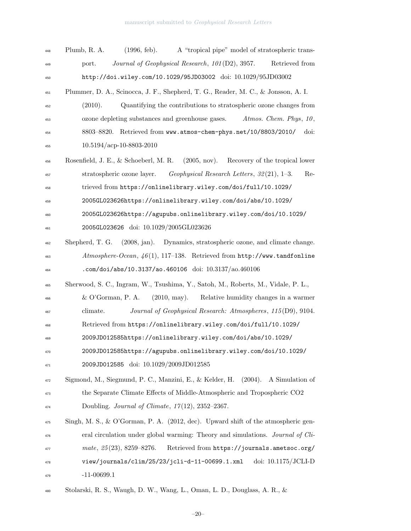| 448 | Plumb, R. A.<br>$(1996, \text{ feb}).$<br>A "tropical pipe" model of stratospheric trans-      |
|-----|------------------------------------------------------------------------------------------------|
| 449 | Journal of Geophysical Research, 101(D2), 3957.<br>Retrieved from<br>port.                     |
| 450 | http://doi.wiley.com/10.1029/95JD03002 doi: 10.1029/95JD03002                                  |
| 451 | Plummer, D. A., Scinocca, J. F., Shepherd, T. G., Reader, M. C., & Jonsson, A. I.              |
| 452 | Quantifying the contributions to stratospheric ozone changes from<br>(2010).                   |
| 453 | ozone depleting substances and greenhouse gases.<br>Atmos. Chem. Phys. 10,                     |
| 454 | 8803-8820. Retrieved from www.atmos-chem-phys.net/10/8803/2010/<br>doi:                        |
| 455 | $10.5194/acp-10-8803-2010$                                                                     |
| 456 | Rosenfield, J. E., & Schoeberl, M. R.<br>(2005, nov).<br>Recovery of the tropical lower        |
| 457 | $Geophysical$ Research Letters, 32(21), 1-3.<br>stratospheric ozone layer.<br>Re-              |
| 458 | trieved from https://onlinelibrary.wiley.com/doi/full/10.1029/                                 |
| 459 | 2005GL023626https://onlinelibrary.wiley.com/doi/abs/10.1029/                                   |
| 460 | 2005GL023626https://agupubs.onlinelibrary.wiley.com/doi/10.1029/                               |
| 461 | 2005GL023626 doi: 10.1029/2005GL023626                                                         |
| 462 | Shepherd, T. G.<br>Dynamics, stratospheric ozone, and climate change.<br>$(2008, \text{jan}).$ |
| 463 | $Atmosphere-Ocean, 46(1), 117-138.$ Retrieved from http://www.tandfonline                      |
| 464 | .com/doi/abs/10.3137/ao.460106 doi: 10.3137/ao.460106                                          |
| 465 | Sherwood, S. C., Ingram, W., Tsushima, Y., Satoh, M., Roberts, M., Vidale, P. L.,              |
| 466 | $(2010, \text{may}).$<br>& O'Gorman, P. A.<br>Relative humidity changes in a warmer            |
| 467 | Journal of Geophysical Research: Atmospheres, 115(D9), 9104.<br>climate.                       |
| 468 | Retrieved from https://onlinelibrary.wiley.com/doi/full/10.1029/                               |
| 469 | 2009JD012585https://onlinelibrary.wiley.com/doi/abs/10.1029/                                   |
| 470 | 2009JD012585https://agupubs.onlinelibrary.wiley.com/doi/10.1029/                               |
| 471 | 2009JD012585 doi: 10.1029/2009JD012585                                                         |
| 472 | Sigmond, M., Siegmund, P. C., Manzini, E., & Kelder, H.<br>(2004).<br>A Simulation of          |
| 473 | the Separate Climate Effects of Middle-Atmospheric and Tropospheric CO2                        |
| 474 | Doubling. Journal of Climate, $17(12)$ , $2352-2367$ .                                         |
| 475 | Singh, M. S., & O'Gorman, P. A. $(2012, dec)$ . Upward shift of the atmospheric gen-           |
| 476 | eral circulation under global warming: Theory and simulations. Journal of Cli-                 |
| 477 | mate, $25(23)$ , 8259-8276.<br>Retrieved from https://journals.ametsoc.org/                    |
| 478 | view/journals/clim/25/23/jcli-d-11-00699.1.xml<br>doi: 10.1175/JCLI-D                          |
| 479 | $-11 - 00699.1$                                                                                |
|     |                                                                                                |

Stolarski, R. S., Waugh, D. W., Wang, L., Oman, L. D., Douglass, A. R., &